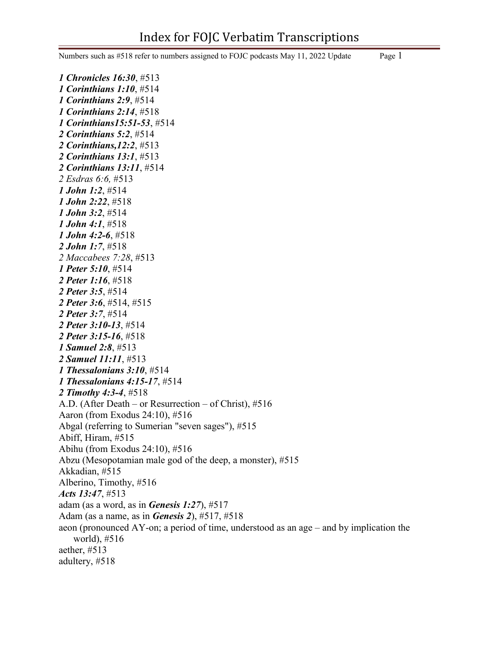Numbers such as #518 refer to numbers assigned to FOJC podcasts May 11, 2022 Update Page 1

*1 Chronicles 16:30*, #513 *1 Corinthians 1:10*, #514 *1 Corinthians 2:9*, #514 *1 Corinthians 2:14*, #518 *1 Corinthians15:51-53*, #514 *2 Corinthians 5:2*, #514 *2 Corinthians,12:2*, #513 *2 Corinthians 13:1*, #513 *2 Corinthians 13:11*, #514 *2 Esdras 6:6,* #513 *1 John 1:2*, #514 *1 John 2:22*, #518 *1 John 3:2*, #514 *1 John 4:1*, #518 *1 John 4:2-6*, #518 *2 John 1:7*, #518 *2 Maccabees 7:28*, #513 *1 Peter 5:10*, #514 *2 Peter 1:16*, #518 *2 Peter 3:5*, #514 *2 Peter 3:6*, #514, #515 *2 Peter 3:7*, #514 *2 Peter 3:10-13*, #514 *2 Peter 3:15-16*, #518 *1 Samuel 2:8*, #513 *2 Samuel 11:11*, #513 *1 Thessalonians 3:10*, #514 *1 Thessalonians 4:15-17*, #514 *2 Timothy 4:3-4*, #518 A.D. (After Death – or Resurrection – of Christ), #516 Aaron (from Exodus 24:10), #516 Abgal (referring to Sumerian "seven sages"), #515 Abiff, Hiram, #515 Abihu (from Exodus 24:10), #516 Abzu (Mesopotamian male god of the deep, a monster), #515 Akkadian, #515 Alberino, Timothy, #516 *Acts 13:47*, #513 adam (as a word, as in *Genesis 1:27*), #517 Adam (as a name, as in *Genesis 2*), #517, #518 aeon (pronounced AY-on; a period of time, understood as an age – and by implication the world), #516 aether, #513 adultery, #518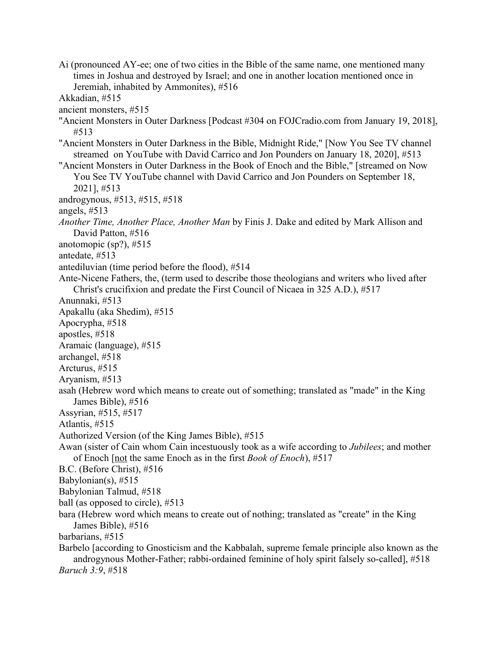Ai (pronounced AY-ee; one of two cities in the Bible of the same name, one mentioned many times in Joshua and destroyed by Israel; and one in another location mentioned once in Jeremiah, inhabited by Ammonites), #516 Akkadian, #515 ancient monsters, #515 "Ancient Monsters in Outer Darkness [Podcast #304 on FOJCradio.com from January 19, 2018], #513 "Ancient Monsters in Outer Darkness in the Bible, Midnight Ride," [Now You See TV channel streamed on YouTube with David Carrico and Jon Pounders on January 18, 2020], #513 "Ancient Monsters in Outer Darkness in the Book of Enoch and the Bible," [streamed on Now You See TV YouTube channel with David Carrico and Jon Pounders on September 18, 2021], #513 androgynous, #513, #515, #518 angels, #513 *Another Time, Another Place, Another Man* by Finis J. Dake and edited by Mark Allison and David Patton, #516 anotomopic (sp?), #515 antedate, #513 antediluvian (time period before the flood), #514 Ante-Nicene Fathers, the, (term used to describe those theologians and writers who lived after Christ's crucifixion and predate the First Council of Nicaea in 325 A.D.), #517 Anunnaki, #513 Apakallu (aka Shedim), #515 Apocrypha, #518 apostles, #518 Aramaic (language), #515 archangel, #518 Arcturus, #515 Aryanism, #513 asah (Hebrew word which means to create out of something; translated as "made" in the King James Bible), #516 Assyrian, #515, #517 Atlantis, #515 Authorized Version (of the King James Bible), #515 Awan (sister of Cain whom Cain incestuously took as a wife according to *Jubilees*; and mother of Enoch [not the same Enoch as in the first *Book of Enoch*), #517 B.C. (Before Christ), #516 Babylonian(s),  $\#515$ Babylonian Talmud, #518 ball (as opposed to circle), #513 bara (Hebrew word which means to create out of nothing; translated as "create" in the King James Bible), #516 barbarians, #515 Barbelo [according to Gnosticism and the Kabbalah, supreme female principle also known as the androgynous Mother-Father; rabbi-ordained feminine of holy spirit falsely so-called], #518 *Baruch 3:9*, #518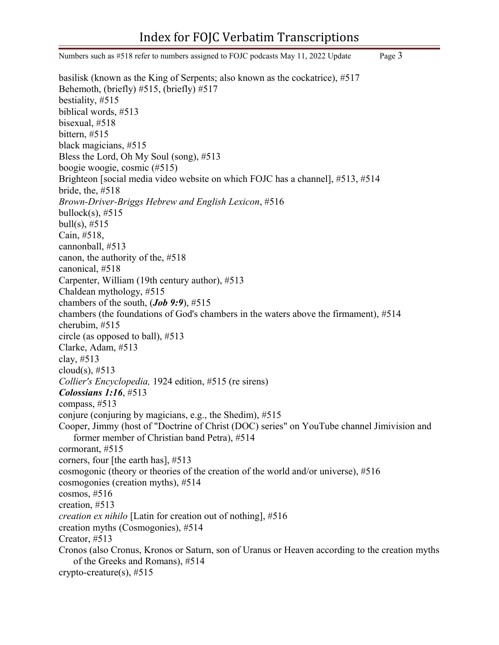Numbers such as #518 refer to numbers assigned to FOJC podcasts May 11, 2022 Update Page 3 basilisk (known as the King of Serpents; also known as the cockatrice), #517 Behemoth, (briefly) #515, (briefly) #517 bestiality, #515 biblical words, #513 bisexual, #518 bittern, #515 black magicians, #515 Bless the Lord, Oh My Soul (song), #513 boogie woogie, cosmic (#515) Brighteon [social media video website on which FOJC has a channel], #513, #514 bride, the, #518 *Brown-Driver-Briggs Hebrew and English Lexicon*, #516 bullock(s),  $#515$ bull(s),  $\#515$ Cain, #518, cannonball, #513 canon, the authority of the, #518 canonical, #518 Carpenter, William (19th century author), #513 Chaldean mythology, #515 chambers of the south, (*Job 9:9*), #515 chambers (the foundations of God's chambers in the waters above the firmament), #514 cherubim, #515 circle (as opposed to ball), #513 Clarke, Adam, #513 clay, #513 cloud(s),  $#513$ *Collier's Encyclopedia,* 1924 edition, #515 (re sirens) *Colossians 1:16*, #513 compass, #513 conjure (conjuring by magicians, e.g., the Shedim), #515 Cooper, Jimmy (host of "Doctrine of Christ (DOC) series" on YouTube channel Jimivision and former member of Christian band Petra), #514 cormorant, #515 corners, four [the earth has], #513 cosmogonic (theory or theories of the creation of the world and/or universe), #516 cosmogonies (creation myths), #514 cosmos, #516 creation, #513 *creation ex nihilo* [Latin for creation out of nothing], #516 creation myths (Cosmogonies), #514 Creator, #513 Cronos (also Cronus, Kronos or Saturn, son of Uranus or Heaven according to the creation myths of the Greeks and Romans), #514 crypto-creature(s),  $\#515$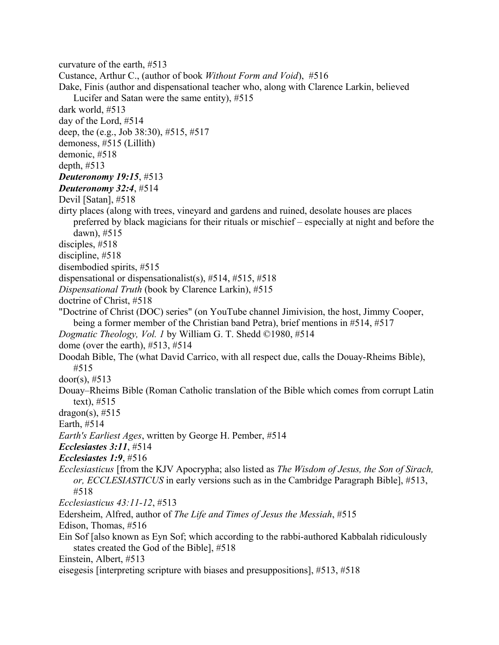curvature of the earth, #513

Custance, Arthur C., (author of book *Without Form and Void*), #516

Dake, Finis (author and dispensational teacher who, along with Clarence Larkin, believed Lucifer and Satan were the same entity), #515

dark world, #513

day of the Lord, #514

deep, the (e.g., Job 38:30), #515, #517

demoness, #515 (Lillith)

demonic, #518

depth, #513

## *Deuteronomy 19:15*, #513

*Deuteronomy 32:4*, #514

Devil [Satan], #518

dirty places (along with trees, vineyard and gardens and ruined, desolate houses are places preferred by black magicians for their rituals or mischief – especially at night and before the dawn), #515

disciples, #518

discipline, #518

disembodied spirits, #515

dispensational or dispensationalist(s), #514, #515, #518

*Dispensational Truth* (book by Clarence Larkin), #515

doctrine of Christ, #518

"Doctrine of Christ (DOC) series" (on YouTube channel Jimivision, the host, Jimmy Cooper, being a former member of the Christian band Petra), brief mentions in #514, #517

*Dogmatic Theology, Vol. 1* by William G. T. Shedd ©1980, #514

dome (over the earth), #513, #514

Doodah Bible, The (what David Carrico, with all respect due, calls the Douay-Rheims Bible), #515

door(s),  $\#513$ 

Douay–Rheims Bible (Roman Catholic translation of the Bible which comes from corrupt Latin text), #515

 $dragon(s), #515$ 

Earth, #514

*Earth's Earliest Ages*, written by George H. Pember, #514

*Ecclesiastes 3:11*, #514

*Ecclesiastes 1:9*, #516

*Ecclesiasticus* [from the KJV Apocrypha; also listed as *The Wisdom of Jesus, the Son of Sirach, or, ECCLESIASTICUS* in early versions such as in the Cambridge Paragraph Bible], #513, #518

*Ecclesiasticus 43:11-12*, #513

Edersheim, Alfred, author of *The Life and Times of Jesus the Messiah*, #515

Edison, Thomas, #516

Ein Sof [also known as Eyn Sof; which according to the rabbi-authored Kabbalah ridiculously states created the God of the Bible], #518

Einstein, Albert, #513

eisegesis [interpreting scripture with biases and presuppositions], #513, #518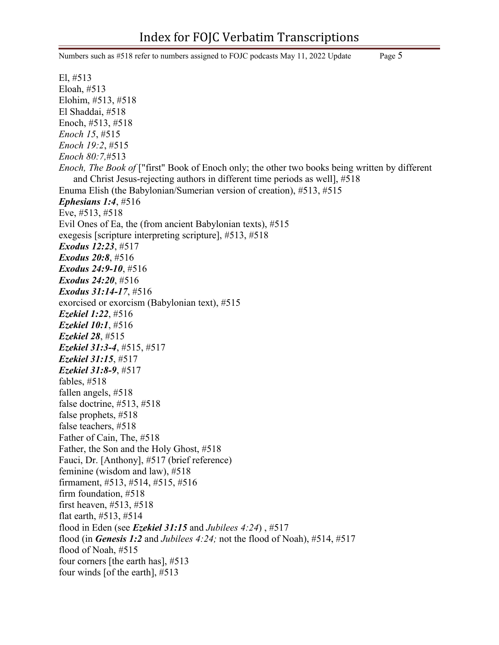Numbers such as #518 refer to numbers assigned to FOJC podcasts May 11, 2022 Update Page 5

El, #513 Eloah, #513 Elohim, #513, #518 El Shaddai, #518 Enoch, #513, #518 *Enoch 15*, #515 *Enoch 19:2*, #515 *Enoch 80:7,*#513 *Enoch, The Book of* ["first" Book of Enoch only; the other two books being written by different and Christ Jesus-rejecting authors in different time periods as well], #518 Enuma Elish (the Babylonian/Sumerian version of creation), #513, #515 *Ephesians 1:4*, #516 Eve, #513, #518 Evil Ones of Ea, the (from ancient Babylonian texts), #515 exegesis [scripture interpreting scripture], #513, #518 *Exodus 12:23*, #517 *Exodus 20:8*, #516 *Exodus 24:9-10*, #516 *Exodus 24:20*, #516 *Exodus 31:14-17*, #516 exorcised or exorcism (Babylonian text), #515 *Ezekiel 1:22*, #516 *Ezekiel 10:1*, #516 *Ezekiel 28*, #515 *Ezekiel 31:3-4*, #515, #517 *Ezekiel 31:15*, #517 *Ezekiel 31:8-9*, #517 fables, #518 fallen angels, #518 false doctrine, #513, #518 false prophets, #518 false teachers, #518 Father of Cain, The, #518 Father, the Son and the Holy Ghost, #518 Fauci, Dr. [Anthony], #517 (brief reference) feminine (wisdom and law), #518 firmament, #513, #514, #515, #516 firm foundation, #518 first heaven, #513, #518 flat earth, #513, #514 flood in Eden (see *Ezekiel 31:15* and *Jubilees 4:24*) , #517 flood (in *Genesis 1:2* and *Jubilees 4:24;* not the flood of Noah), #514, #517 flood of Noah, #515 four corners [the earth has], #513 four winds [of the earth], #513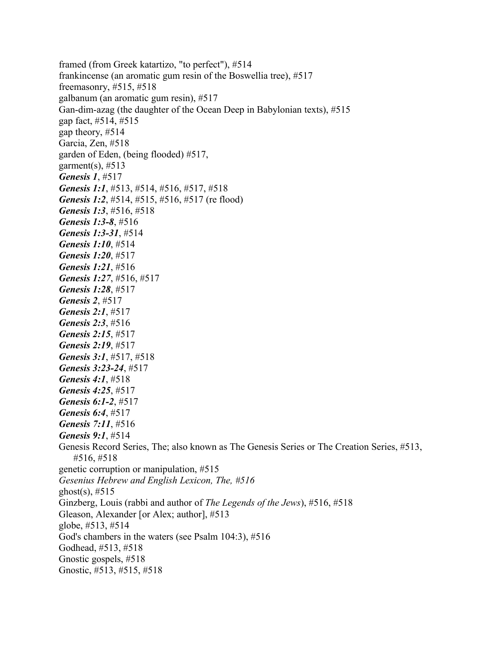framed (from Greek katartizo, "to perfect"), #514 frankincense (an aromatic gum resin of the Boswellia tree), #517 freemasonry, #515, #518 galbanum (an aromatic gum resin), #517 Gan-dim-azag (the daughter of the Ocean Deep in Babylonian texts), #515 gap fact, #514, #515 gap theory, #514 Garcia, Zen, #518 garden of Eden, (being flooded) #517, garment(s),  $#513$ *Genesis 1*, #517 *Genesis 1:1*, #513, #514, #516, #517, #518 *Genesis 1:2, #514, #515, #516, #517 (re flood) Genesis 1:3*, #516, #518 *Genesis 1:3-8*, #516 *Genesis 1:3-31*, #514 *Genesis 1:10*, #514 *Genesis 1:20*, #517 *Genesis 1:21*, #516 *Genesis 1:27*, #516, #517 *Genesis 1:28*, #517 *Genesis 2*, #517 *Genesis 2:1*, #517 *Genesis 2:3*, #516 *Genesis 2:15*, #517 *Genesis 2:19*, #517 *Genesis 3:1*, #517, #518 *Genesis 3:23-24*, #517 *Genesis 4:1*, #518 *Genesis 4:25*, #517 *Genesis 6:1-2*, #517 *Genesis 6:4*, #517 *Genesis 7:11*, #516 *Genesis 9:1*, #514 Genesis Record Series, The; also known as The Genesis Series or The Creation Series, #513, #516, #518 genetic corruption or manipulation, #515 *Gesenius Hebrew and English Lexicon, The, #516* ghost(s),  $\#515$ Ginzberg, Louis (rabbi and author of *The Legends of the Jews*), #516, #518 Gleason, Alexander [or Alex; author], #513 globe, #513, #514 God's chambers in the waters (see Psalm 104:3), #516 Godhead, #513, #518 Gnostic gospels, #518 Gnostic, #513, #515, #518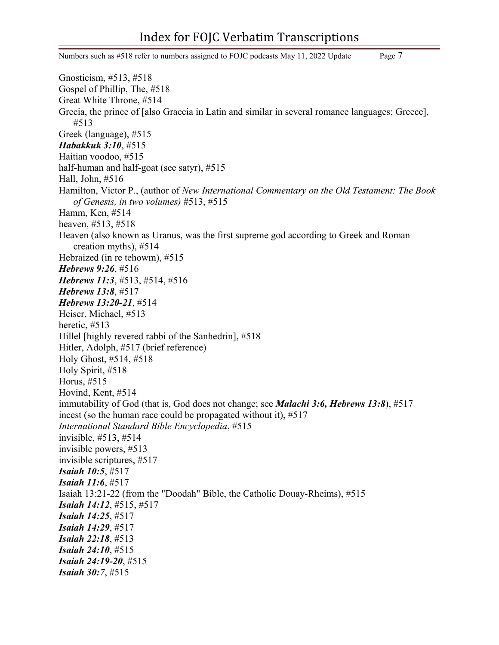## Index for FOJC Verbatim Transcriptions

Numbers such as #518 refer to numbers assigned to FOJC podcasts May 11, 2022 Update Page 7 Gnosticism, #513, #518 Gospel of Phillip, The, #518 Great White Throne, #514 Grecia, the prince of [also Graecia in Latin and similar in several romance languages; Greece], #513 Greek (language), #515 *Habakkuk 3:10*, #515 Haitian voodoo, #515 half-human and half-goat (see satyr), #515 Hall, John, #516 Hamilton, Victor P., (author of *New International Commentary on the Old Testament: The Book of Genesis, in two volumes)* #513, #515 Hamm, Ken, #514 heaven, #513, #518 Heaven (also known as Uranus, was the first supreme god according to Greek and Roman creation myths), #514 Hebraized (in re tehowm), #515 *Hebrews 9:26*, #516 *Hebrews 11:3*, #513, #514, #516 *Hebrews 13:8*, #517 *Hebrews 13:20-21*, #514 Heiser, Michael, #513 heretic, #513 Hillel [highly revered rabbi of the Sanhedrin], #518 Hitler, Adolph, #517 (brief reference) Holy Ghost, #514, #518 Holy Spirit, #518 Horus, #515 Hovind, Kent, #514 immutability of God (that is, God does not change; see *Malachi 3:6, Hebrews 13:8*), #517 incest (so the human race could be propagated without it), #517 *International Standard Bible Encyclopedia*, #515 invisible, #513, #514 invisible powers, #513 invisible scriptures, #517 *Isaiah 10:5*, #517 *Isaiah 11:6*, #517 Isaiah 13:21-22 (from the "Doodah" Bible, the Catholic Douay-Rheims), #515 *Isaiah 14:12*, #515, #517 *Isaiah 14:25*, #517 *Isaiah 14:29*, #517 *Isaiah 22:18*, #513 *Isaiah 24:10*, #515 *Isaiah 24:19-20*, #515 *Isaiah 30:7*, #515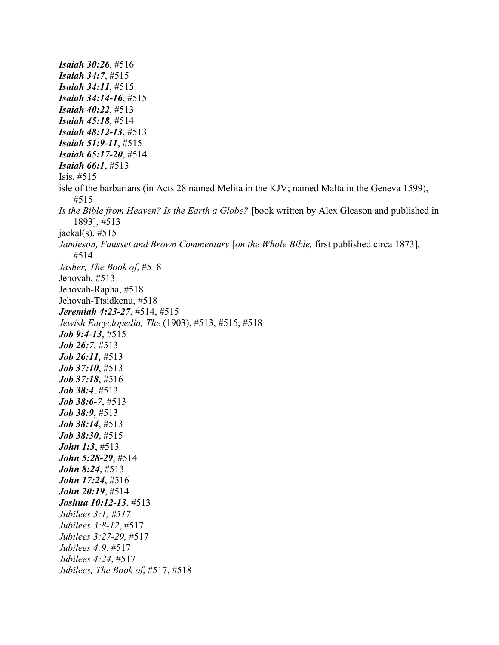*Isaiah 30:26*, #516 *Isaiah 34:7*, #515 *Isaiah 34:11*, #515 *Isaiah 34:14-16*, #515 *Isaiah 40:22*, #513 *Isaiah 45:18*, #514 *Isaiah 48:12-13*, #513 *Isaiah 51:9-11*, #515 *Isaiah 65:17-20*, #514 *Isaiah 66:1*, #513 Isis, #515 isle of the barbarians (in Acts 28 named Melita in the KJV; named Malta in the Geneva 1599), #515 *Is the Bible from Heaven? Is the Earth a Globe?* [book written by Alex Gleason and published in 1893], #513  $jackal(s), #515$ *Jamieson, Fausset and Brown Commentary* [*on the Whole Bible,* first published circa 1873], #514 *Jasher, The Book of*, #518 Jehovah, #513 Jehovah-Rapha, #518 Jehovah-Ttsidkenu, #518 *Jeremiah 4:23-27*, #514, #515 *Jewish Encyclopedia, The* (1903), #513, #515, #518 *Job 9:4-13*, #515 *Job 26:7*, #513 *Job 26:11,* #513 *Job 37:10*, #513 *Job 37:18*, #516 *Job 38:4*, #513 *Job 38:6-7*, #513 *Job 38:9*, #513 *Job 38:14*, #513 *Job 38:30*, #515 *John 1:3*, #513 *John 5:28-29*, #514 *John 8:24*, #513 *John 17:24*, #516 *John 20:19*, #514 *Joshua 10:12-13*, #513 *Jubilees 3:1, #517 Jubilees 3:8-12*, #517 *Jubilees 3:27-29,* #517 *Jubilees 4:9*, #517 *Jubilees 4:24*, #517 *Jubilees, The Book of*, #517, #518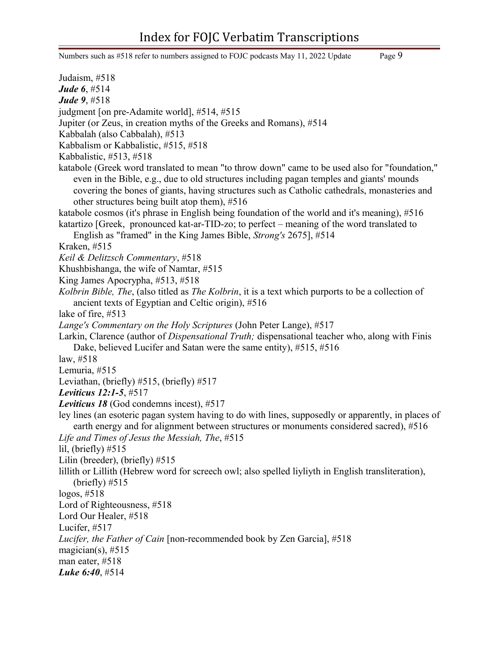## Index for FOJC Verbatim Transcriptions

Numbers such as #518 refer to numbers assigned to FOJC podcasts May 11, 2022 Update Page 9

Judaism, #518 *Jude 6*, #514 *Jude 9*, #518 judgment [on pre-Adamite world], #514, #515 Jupiter (or Zeus, in creation myths of the Greeks and Romans), #514 Kabbalah (also Cabbalah), #513 Kabbalism or Kabbalistic, #515, #518 Kabbalistic, #513, #518 katabole (Greek word translated to mean "to throw down" came to be used also for "foundation," even in the Bible, e.g., due to old structures including pagan temples and giants' mounds covering the bones of giants, having structures such as Catholic cathedrals, monasteries and other structures being built atop them), #516 katabole cosmos (it's phrase in English being foundation of the world and it's meaning), #516 katartizo [Greek, pronounced kat-ar-TID-zo; to perfect – meaning of the word translated to English as "framed" in the King James Bible, *Strong's* 2675], #514 Kraken, #515 *Keil & Delitzsch Commentary*, #518 Khushbishanga, the wife of Namtar, #515 King James Apocrypha, #513, #518 *Kolbrin Bible, The*, (also titled as *The Kolbrin*, it is a text which purports to be a collection of ancient texts of Egyptian and Celtic origin), #516 lake of fire, #513 *Lange's Commentary on the Holy Scriptures* (John Peter Lange), #517 Larkin, Clarence (author of *Dispensational Truth;* dispensational teacher who, along with Finis Dake, believed Lucifer and Satan were the same entity), #515, #516 law, #518 Lemuria, #515 Leviathan, (briefly) #515, (briefly) #517 *Leviticus 12:1-5*, #517 *Leviticus 18* (God condemns incest), #517 ley lines (an esoteric pagan system having to do with lines, supposedly or apparently, in places of earth energy and for alignment between structures or monuments considered sacred), #516 *Life and Times of Jesus the Messiah, The*, #515 lil, (briefly)  $#515$ Lilin (breeder), (briefly) #515 lillith or Lillith (Hebrew word for screech owl; also spelled liyliyth in English transliteration), (briefly)  $#515$ logos, #518 Lord of Righteousness, #518 Lord Our Healer, #518 Lucifer, #517 *Lucifer, the Father of Cain* [non-recommended book by Zen Garcia], #518 magician(s),  $#515$ man eater, #518 *Luke 6:40*, #514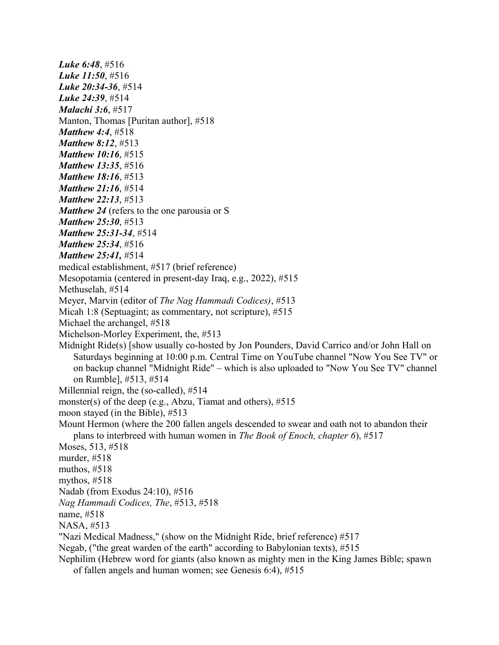*Luke 6:48*, #516 *Luke 11:50*, #516 *Luke 20:34-36*, #514 *Luke 24:39*, #514 *Malachi 3:6*, #517 Manton, Thomas [Puritan author], #518 *Matthew 4:4*, #518 *Matthew 8:12*, #513 *Matthew 10:16*, #515 *Matthew 13:35*, #516 *Matthew 18:16*, #513 *Matthew 21:16*, #514 *Matthew 22:13*, #513 *Matthew 24* (refers to the one parousia or S *Matthew 25:30*, #513 *Matthew 25:31-34*, #514 *Matthew 25:34*, #516 *Matthew 25:41,* #514 medical establishment, #517 (brief reference) Mesopotamia (centered in present-day Iraq, e.g., 2022), #515 Methuselah, #514 Meyer, Marvin (editor of *The Nag Hammadi Codices)*, #513 Micah 1:8 (Septuagint; as commentary, not scripture), #515 Michael the archangel, #518 Michelson-Morley Experiment, the, #513 Midnight Ride(s) [show usually co-hosted by Jon Pounders, David Carrico and/or John Hall on Saturdays beginning at 10:00 p.m. Central Time on YouTube channel "Now You See TV" or on backup channel "Midnight Ride" – which is also uploaded to "Now You See TV" channel on Rumble], #513, #514 Millennial reign, the (so-called), #514 monster(s) of the deep (e.g., Abzu, Tiamat and others), #515 moon stayed (in the Bible), #513 Mount Hermon (where the 200 fallen angels descended to swear and oath not to abandon their plans to interbreed with human women in *The Book of Enoch, chapter 6*), #517 Moses, 513, #518 murder, #518 muthos, #518 mythos, #518 Nadab (from Exodus 24:10), #516 *Nag Hammadi Codices, The*, #513, #518 name, #518 NASA, #513 "Nazi Medical Madness," (show on the Midnight Ride, brief reference) #517 Negab, ("the great warden of the earth" according to Babylonian texts), #515 Nephilim (Hebrew word for giants (also known as mighty men in the King James Bible; spawn

of fallen angels and human women; see Genesis 6:4), #515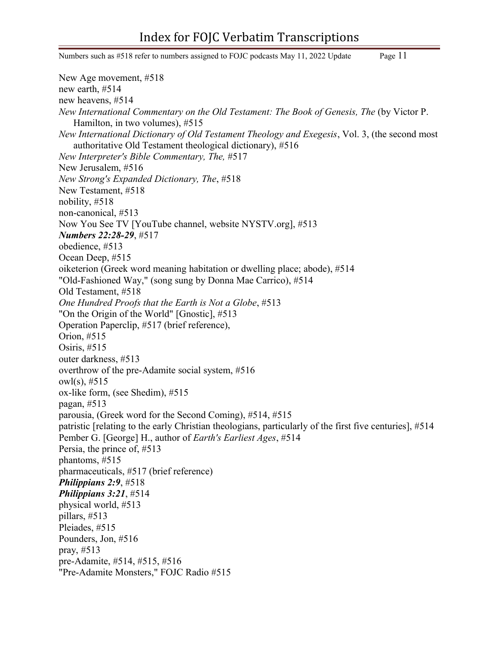Numbers such as #518 refer to numbers assigned to FOJC podcasts May 11, 2022 Update Page 11 New Age movement, #518 new earth, #514 new heavens, #514 *New International Commentary on the Old Testament: The Book of Genesis, The* (by Victor P. Hamilton, in two volumes), #515 *New International Dictionary of Old Testament Theology and Exegesis*, Vol. 3, (the second most authoritative Old Testament theological dictionary), #516 *New Interpreter's Bible Commentary, The,* #517 New Jerusalem, #516 *New Strong's Expanded Dictionary, The*, #518 New Testament, #518 nobility, #518 non-canonical, #513 Now You See TV [YouTube channel, website NYSTV.org], #513 *Numbers 22:28-29*, #517 obedience, #513 Ocean Deep, #515 oiketerion (Greek word meaning habitation or dwelling place; abode), #514 "Old-Fashioned Way," (song sung by Donna Mae Carrico), #514 Old Testament, #518 *One Hundred Proofs that the Earth is Not a Globe*, #513 "On the Origin of the World" [Gnostic], #513 Operation Paperclip, #517 (brief reference), Orion, #515 Osiris, #515 outer darkness, #513 overthrow of the pre-Adamite social system, #516 owl(s), #515 ox-like form, (see Shedim), #515 pagan, #513 parousia, (Greek word for the Second Coming), #514, #515 patristic [relating to the early Christian theologians, particularly of the first five centuries], #514 Pember G. [George] H., author of *Earth's Earliest Ages*, #514 Persia, the prince of, #513 phantoms, #515 pharmaceuticals, #517 (brief reference) *Philippians 2:9*, #518 *Philippians 3:21*, #514 physical world, #513 pillars, #513 Pleiades, #515 Pounders, Jon, #516 pray, #513 pre-Adamite, #514, #515, #516 "Pre-Adamite Monsters," FOJC Radio #515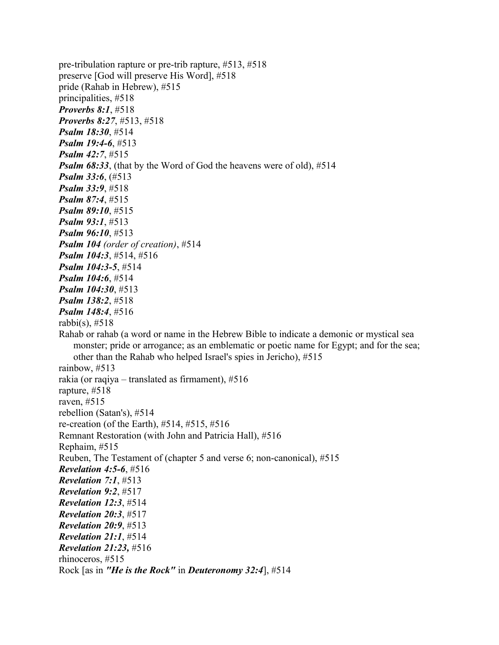pre-tribulation rapture or pre-trib rapture, #513, #518 preserve [God will preserve His Word], #518 pride (Rahab in Hebrew), #515 principalities, #518 *Proverbs 8:1*, #518 *Proverbs 8:27*, #513, #518 *Psalm 18:30*, #514 *Psalm 19:4-6*, #513 *Psalm 42:7*, #515 *Psalm 68:33*, (that by the Word of God the heavens were of old), #514 *Psalm 33:6*, (#513 *Psalm 33:9*, #518 *Psalm 87:4*, #515 *Psalm 89:10*, #515 *Psalm 93:1*, #513 *Psalm 96:10*, #513 *Psalm 104 (order of creation)*, #514 *Psalm 104:3*, #514, #516 *Psalm 104:3-5*, #514 *Psalm 104:6*, #514 *Psalm 104:30*, #513 *Psalm 138:2*, #518 *Psalm 148:4*, #516 rabbi(s),  $\#518$ Rahab or rahab (a word or name in the Hebrew Bible to indicate a demonic or mystical sea monster; pride or arrogance; as an emblematic or poetic name for Egypt; and for the sea; other than the Rahab who helped Israel's spies in Jericho), #515 rainbow, #513 rakia (or raqiya – translated as firmament), #516 rapture, #518 raven, #515 rebellion (Satan's), #514 re-creation (of the Earth), #514, #515, #516 Remnant Restoration (with John and Patricia Hall), #516 Rephaim, #515 Reuben, The Testament of (chapter 5 and verse 6; non-canonical), #515 *Revelation 4:5-6*, #516 *Revelation 7:1*, #513 *Revelation 9:2*, #517 *Revelation 12:3*, #514 *Revelation 20:3*, #517 *Revelation 20:9*, #513 *Revelation 21:1*, #514 *Revelation 21:23,* #516 rhinoceros, #515 Rock [as in *"He is the Rock"* in *Deuteronomy 32:4*], #514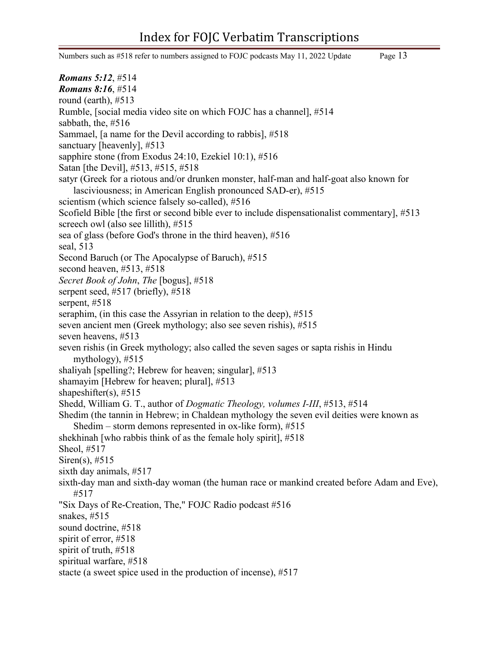Numbers such as #518 refer to numbers assigned to FOJC podcasts May 11, 2022 Update Page 13 *Romans 5:12*, #514 *Romans 8:16*, #514 round (earth), #513 Rumble, [social media video site on which FOJC has a channel], #514 sabbath, the, #516 Sammael, [a name for the Devil according to rabbis], #518 sanctuary [heavenly], #513 sapphire stone (from Exodus 24:10, Ezekiel 10:1), #516 Satan [the Devil], #513, #515, #518 satyr (Greek for a riotous and/or drunken monster, half-man and half-goat also known for lasciviousness; in American English pronounced SAD-er), #515 scientism (which science falsely so-called), #516 Scofield Bible [the first or second bible ever to include dispensationalist commentary], #513 screech owl (also see lillith), #515 sea of glass (before God's throne in the third heaven), #516 seal, 513 Second Baruch (or The Apocalypse of Baruch), #515 second heaven, #513, #518 *Secret Book of John*, *The* [bogus], #518 serpent seed, #517 (briefly), #518 serpent, #518 seraphim, (in this case the Assyrian in relation to the deep), #515 seven ancient men (Greek mythology; also see seven rishis), #515 seven heavens, #513 seven rishis (in Greek mythology; also called the seven sages or sapta rishis in Hindu mythology), #515 shaliyah [spelling?; Hebrew for heaven; singular], #513 shamayim [Hebrew for heaven; plural], #513 shapeshifter(s),  $#515$ Shedd, William G. T., author of *Dogmatic Theology, volumes I-III*, #513, #514 Shedim (the tannin in Hebrew; in Chaldean mythology the seven evil deities were known as Shedim – storm demons represented in ox-like form), #515 shekhinah [who rabbis think of as the female holy spirit], #518 Sheol, #517 Siren(s), #515 sixth day animals, #517 sixth-day man and sixth-day woman (the human race or mankind created before Adam and Eve), #517 "Six Days of Re-Creation, The," FOJC Radio podcast #516 snakes, #515 sound doctrine, #518 spirit of error, #518 spirit of truth, #518 spiritual warfare, #518 stacte (a sweet spice used in the production of incense), #517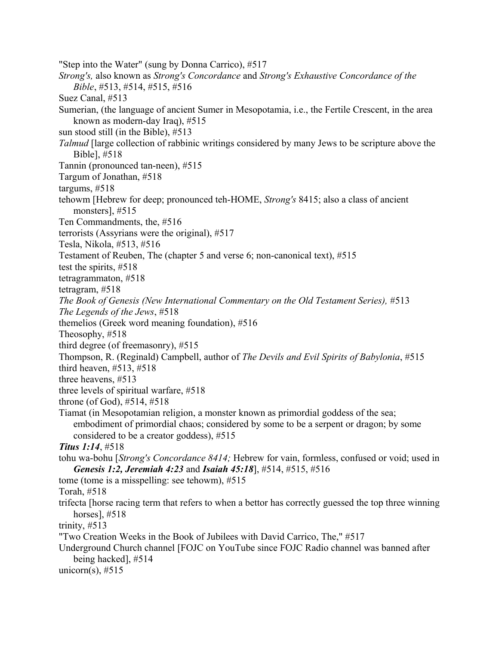"Step into the Water" (sung by Donna Carrico), #517 *Strong's,* also known as *Strong's Concordance* and *Strong's Exhaustive Concordance of the Bible*, #513, #514, #515, #516 Suez Canal, #513 Sumerian, (the language of ancient Sumer in Mesopotamia, i.e., the Fertile Crescent, in the area known as modern-day Iraq), #515 sun stood still (in the Bible), #513 *Talmud* [large collection of rabbinic writings considered by many Jews to be scripture above the Bible], #518 Tannin (pronounced tan-neen), #515 Targum of Jonathan, #518 targums, #518 tehowm [Hebrew for deep; pronounced teh-HOME, *Strong's* 8415; also a class of ancient monsters], #515 Ten Commandments, the, #516 terrorists (Assyrians were the original), #517 Tesla, Nikola, #513, #516 Testament of Reuben, The (chapter 5 and verse 6; non-canonical text), #515 test the spirits, #518 tetragrammaton, #518 tetragram, #518 *The Book of Genesis (New International Commentary on the Old Testament Series), #513 The Legends of the Jews*, #518 themelios (Greek word meaning foundation), #516 Theosophy, #518 third degree (of freemasonry), #515 Thompson, R. (Reginald) Campbell, author of *The Devils and Evil Spirits of Babylonia*, #515 third heaven, #513, #518 three heavens, #513 three levels of spiritual warfare, #518 throne (of God), #514, #518 Tiamat (in Mesopotamian religion, a monster known as primordial goddess of the sea; embodiment of primordial chaos; considered by some to be a serpent or dragon; by some considered to be a creator goddess), #515 *Titus 1:14*, #518 tohu wa-bohu [*Strong's Concordance 8414;* Hebrew for vain, formless, confused or void; used in *Genesis 1:2, Jeremiah 4:23* and *Isaiah 45:18*], #514, #515, #516 tome (tome is a misspelling: see tehowm), #515 Torah, #518 trifecta [horse racing term that refers to when a bettor has correctly guessed the top three winning horses], #518 trinity, #513 "Two Creation Weeks in the Book of Jubilees with David Carrico, The," #517 Underground Church channel [FOJC on YouTube since FOJC Radio channel was banned after being hacked], #514 unicorn(s),  $#515$